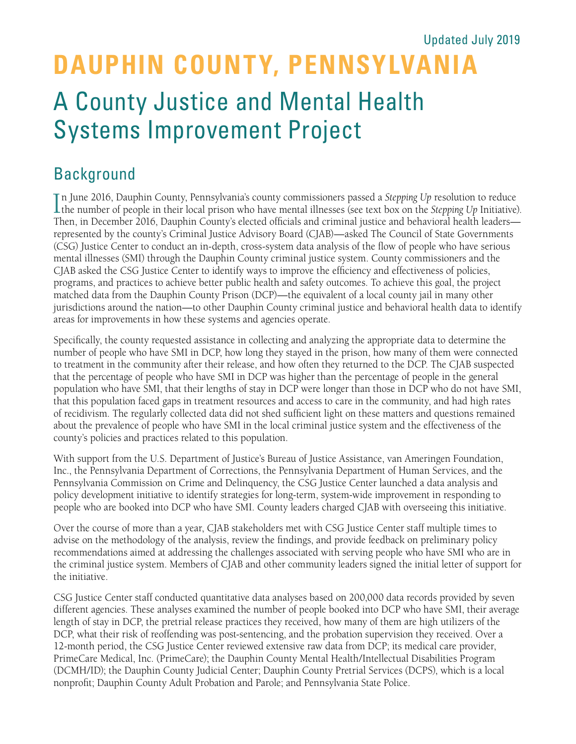# **DAUPHIN COUNTY, PENNSYLVANIA** A County Justice and Mental Health Systems Improvement Project Updated July 2019

### Background

In June 2016, Dauphin County, Pennsylvania's county commissioners passed a *Stepping Up* resolution to reduce the number of people in their local prison who have mental illnesses (see text box on the *Stepping Up* Initiati n June 2016, Dauphin County, Pennsylvania's county commissioners passed a *Stepping Up* resolution to reduce Then, in December 2016, Dauphin County's elected officials and criminal justice and behavioral health leaders represented by the county's Criminal Justice Advisory Board (CJAB)—asked The Council of State Governments (CSG) Justice Center to conduct an in-depth, cross-system data analysis of the flow of people who have serious mental illnesses (SMI) through the Dauphin County criminal justice system. County commissioners and the CJAB asked the CSG Justice Center to identify ways to improve the efficiency and effectiveness of policies, programs, and practices to achieve better public health and safety outcomes. To achieve this goal, the project matched data from the Dauphin County Prison (DCP)—the equivalent of a local county jail in many other jurisdictions around the nation—to other Dauphin County criminal justice and behavioral health data to identify areas for improvements in how these systems and agencies operate.

Specifically, the county requested assistance in collecting and analyzing the appropriate data to determine the number of people who have SMI in DCP, how long they stayed in the prison, how many of them were connected to treatment in the community after their release, and how often they returned to the DCP. The CJAB suspected that the percentage of people who have SMI in DCP was higher than the percentage of people in the general population who have SMI, that their lengths of stay in DCP were longer than those in DCP who do not have SMI, that this population faced gaps in treatment resources and access to care in the community, and had high rates of recidivism. The regularly collected data did not shed sufficient light on these matters and questions remained about the prevalence of people who have SMI in the local criminal justice system and the effectiveness of the county's policies and practices related to this population.

With support from the U.S. Department of Justice's Bureau of Justice Assistance, van Ameringen Foundation, Inc., the Pennsylvania Department of Corrections, the Pennsylvania Department of Human Services, and the Pennsylvania Commission on Crime and Delinquency, the CSG Justice Center launched a data analysis and policy development initiative to identify strategies for long-term, system-wide improvement in responding to people who are booked into DCP who have SMI. County leaders charged CJAB with overseeing this initiative.

Over the course of more than a year, CJAB stakeholders met with CSG Justice Center staff multiple times to advise on the methodology of the analysis, review the findings, and provide feedback on preliminary policy recommendations aimed at addressing the challenges associated with serving people who have SMI who are in the criminal justice system. Members of CJAB and other community leaders signed the initial letter of support for the initiative.

CSG Justice Center staff conducted quantitative data analyses based on 200,000 data records provided by seven different agencies. These analyses examined the number of people booked into DCP who have SMI, their average length of stay in DCP, the pretrial release practices they received, how many of them are high utilizers of the DCP, what their risk of reoffending was post-sentencing, and the probation supervision they received. Over a 12-month period, the CSG Justice Center reviewed extensive raw data from DCP; its medical care provider, PrimeCare Medical, Inc. (PrimeCare); the Dauphin County Mental Health/Intellectual Disabilities Program (DCMH/ID); the Dauphin County Judicial Center; Dauphin County Pretrial Services (DCPS), which is a local nonprofit; Dauphin County Adult Probation and Parole; and Pennsylvania State Police.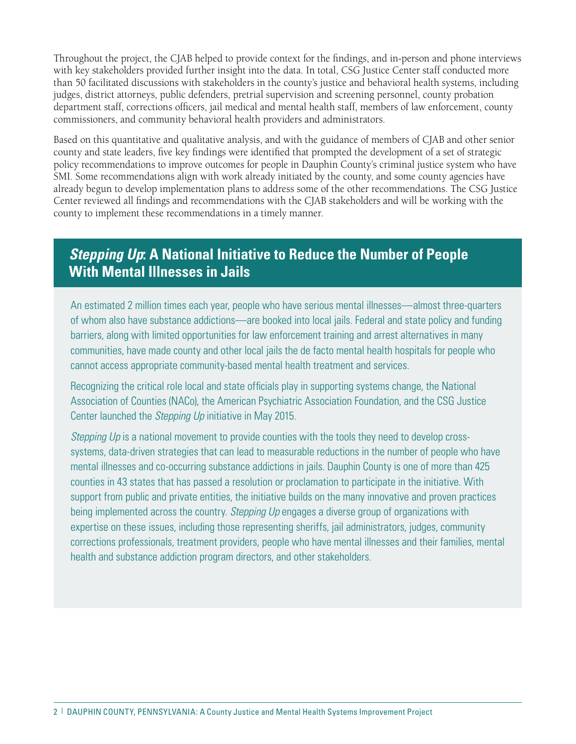Throughout the project, the CJAB helped to provide context for the findings, and in-person and phone interviews with key stakeholders provided further insight into the data. In total, CSG Justice Center staff conducted more than 50 facilitated discussions with stakeholders in the county's justice and behavioral health systems, including judges, district attorneys, public defenders, pretrial supervision and screening personnel, county probation department staff, corrections officers, jail medical and mental health staff, members of law enforcement, county commissioners, and community behavioral health providers and administrators.

Based on this quantitative and qualitative analysis, and with the guidance of members of CJAB and other senior county and state leaders, five key findings were identified that prompted the development of a set of strategic policy recommendations to improve outcomes for people in Dauphin County's criminal justice system who have SMI. Some recommendations align with work already initiated by the county, and some county agencies have already begun to develop implementation plans to address some of the other recommendations. The CSG Justice Center reviewed all findings and recommendations with the CJAB stakeholders and will be working with the county to implement these recommendations in a timely manner.

### *Stepping Up***: A National Initiative to Reduce the Number of People With Mental Illnesses in Jails**

An estimated 2 million times each year, people who have serious mental illnesses—almost three-quarters of whom also have substance addictions—are booked into local jails. Federal and state policy and funding barriers, along with limited opportunities for law enforcement training and arrest alternatives in many communities, have made county and other local jails the de facto mental health hospitals for people who cannot access appropriate community-based mental health treatment and services.

Recognizing the critical role local and state officials play in supporting systems change, the National Association of Counties (NACo), the American Psychiatric Association Foundation, and the CSG Justice Center launched the *Stepping Up* initiative in May 2015.

*Stepping Up* is a national movement to provide counties with the tools they need to develop crosssystems, data-driven strategies that can lead to measurable reductions in the number of people who have mental illnesses and co-occurring substance addictions in jails. Dauphin County is one of more than 425 counties in 43 states that has passed a resolution or proclamation to participate in the initiative. With support from public and private entities, the initiative builds on the many innovative and proven practices being implemented across the country. *Stepping Up* engages a diverse group of organizations with expertise on these issues, including those representing sheriffs, jail administrators, judges, community corrections professionals, treatment providers, people who have mental illnesses and their families, mental health and substance addiction program directors, and other stakeholders.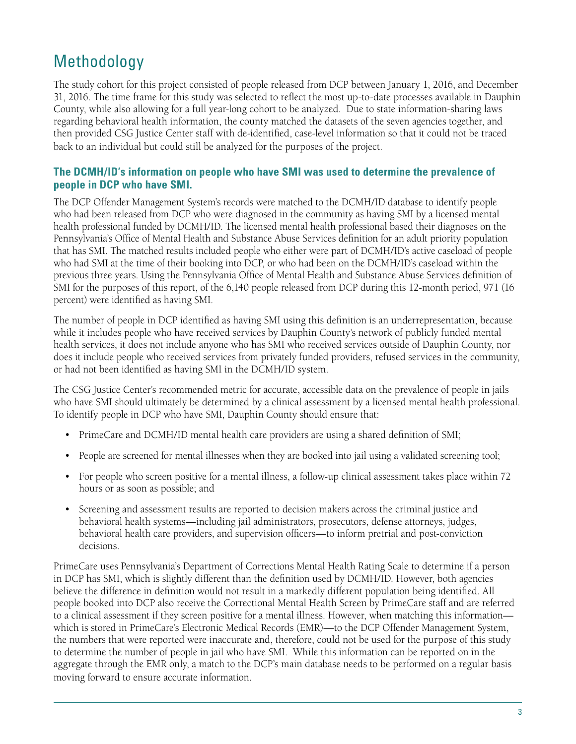### Methodology

The study cohort for this project consisted of people released from DCP between January 1, 2016, and December 31, 2016. The time frame for this study was selected to reflect the most up-to-date processes available in Dauphin County, while also allowing for a full year-long cohort to be analyzed. Due to state information-sharing laws regarding behavioral health information, the county matched the datasets of the seven agencies together, and then provided CSG Justice Center staff with de-identified, case-level information so that it could not be traced back to an individual but could still be analyzed for the purposes of the project.

### **The DCMH/ID's information on people who have SMI was used to determine the prevalence of people in DCP who have SMI.**

The DCP Offender Management System's records were matched to the DCMH/ID database to identify people who had been released from DCP who were diagnosed in the community as having SMI by a licensed mental health professional funded by DCMH/ID. The licensed mental health professional based their diagnoses on the Pennsylvania's Office of Mental Health and Substance Abuse Services definition for an adult priority population that has SMI. The matched results included people who either were part of DCMH/ID's active caseload of people who had SMI at the time of their booking into DCP, or who had been on the DCMH/ID's caseload within the previous three years. Using the Pennsylvania Office of Mental Health and Substance Abuse Services definition of SMI for the purposes of this report, of the 6,140 people released from DCP during this 12-month period, 971 (16 percent) were identified as having SMI.

The number of people in DCP identified as having SMI using this definition is an underrepresentation, because while it includes people who have received services by Dauphin County's network of publicly funded mental health services, it does not include anyone who has SMI who received services outside of Dauphin County, nor does it include people who received services from privately funded providers, refused services in the community, or had not been identified as having SMI in the DCMH/ID system.

The CSG Justice Center's recommended metric for accurate, accessible data on the prevalence of people in jails who have SMI should ultimately be determined by a clinical assessment by a licensed mental health professional. To identify people in DCP who have SMI, Dauphin County should ensure that:

- PrimeCare and DCMH/ID mental health care providers are using a shared definition of SMI;
- People are screened for mental illnesses when they are booked into jail using a validated screening tool;
- For people who screen positive for a mental illness, a follow-up clinical assessment takes place within 72 hours or as soon as possible; and
- Screening and assessment results are reported to decision makers across the criminal justice and behavioral health systems—including jail administrators, prosecutors, defense attorneys, judges, behavioral health care providers, and supervision officers—to inform pretrial and post-conviction decisions.

PrimeCare uses Pennsylvania's Department of Corrections Mental Health Rating Scale to determine if a person in DCP has SMI, which is slightly different than the definition used by DCMH/ID. However, both agencies believe the difference in definition would not result in a markedly different population being identified. All people booked into DCP also receive the Correctional Mental Health Screen by PrimeCare staff and are referred to a clinical assessment if they screen positive for a mental illness. However, when matching this information which is stored in PrimeCare's Electronic Medical Records (EMR)—to the DCP Offender Management System, the numbers that were reported were inaccurate and, therefore, could not be used for the purpose of this study to determine the number of people in jail who have SMI. While this information can be reported on in the aggregate through the EMR only, a match to the DCP's main database needs to be performed on a regular basis moving forward to ensure accurate information.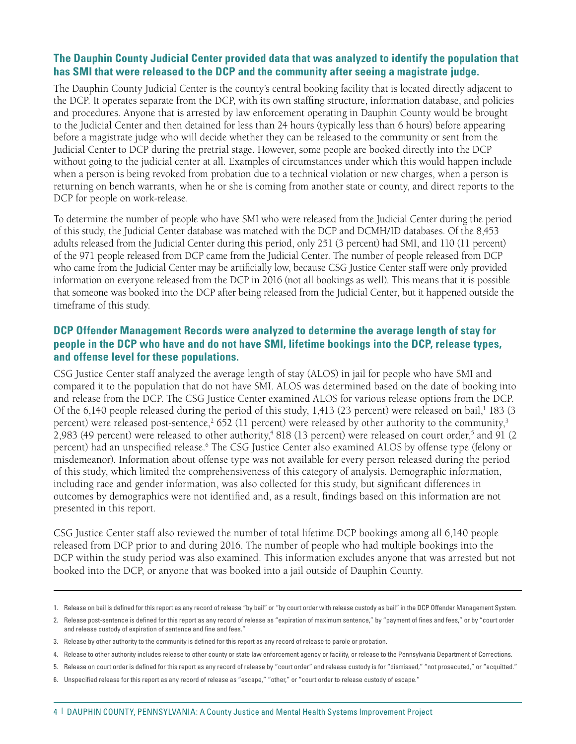### **The Dauphin County Judicial Center provided data that was analyzed to identify the population that has SMI that were released to the DCP and the community after seeing a magistrate judge.**

The Dauphin County Judicial Center is the county's central booking facility that is located directly adjacent to the DCP. It operates separate from the DCP, with its own staffing structure, information database, and policies and procedures. Anyone that is arrested by law enforcement operating in Dauphin County would be brought to the Judicial Center and then detained for less than 24 hours (typically less than 6 hours) before appearing before a magistrate judge who will decide whether they can be released to the community or sent from the Judicial Center to DCP during the pretrial stage. However, some people are booked directly into the DCP without going to the judicial center at all. Examples of circumstances under which this would happen include when a person is being revoked from probation due to a technical violation or new charges, when a person is returning on bench warrants, when he or she is coming from another state or county, and direct reports to the DCP for people on work-release.

To determine the number of people who have SMI who were released from the Judicial Center during the period of this study, the Judicial Center database was matched with the DCP and DCMH/ID databases. Of the 8,453 adults released from the Judicial Center during this period, only 251 (3 percent) had SMI, and 110 (11 percent) of the 971 people released from DCP came from the Judicial Center. The number of people released from DCP who came from the Judicial Center may be artificially low, because CSG Justice Center staff were only provided information on everyone released from the DCP in 2016 (not all bookings as well). This means that it is possible that someone was booked into the DCP after being released from the Judicial Center, but it happened outside the timeframe of this study.

### **DCP Offender Management Records were analyzed to determine the average length of stay for people in the DCP who have and do not have SMI, lifetime bookings into the DCP, release types, and offense level for these populations.**

CSG Justice Center staff analyzed the average length of stay (ALOS) in jail for people who have SMI and compared it to the population that do not have SMI. ALOS was determined based on the date of booking into and release from the DCP. The CSG Justice Center examined ALOS for various release options from the DCP. Of the 6,140 people released during the period of this study,  $1,413$  (23 percent) were released on bail,<sup>1</sup> 183 (3 percent) were released post-sentence,<sup>2</sup> 652 (11 percent) were released by other authority to the community,<sup>3</sup> 2,983 (49 percent) were released to other authority,<sup>4</sup> 818 (13 percent) were released on court order,<sup>5</sup> and 91 (2 percent) had an unspecified release.6 The CSG Justice Center also examined ALOS by offense type (felony or misdemeanor). Information about offense type was not available for every person released during the period of this study, which limited the comprehensiveness of this category of analysis. Demographic information, including race and gender information, was also collected for this study, but significant differences in outcomes by demographics were not identified and, as a result, findings based on this information are not presented in this report.

CSG Justice Center staff also reviewed the number of total lifetime DCP bookings among all 6,140 people released from DCP prior to and during 2016. The number of people who had multiple bookings into the DCP within the study period was also examined. This information excludes anyone that was arrested but not booked into the DCP, or anyone that was booked into a jail outside of Dauphin County.

<sup>1.</sup> Release on bail is defined for this report as any record of release "by bail" or "by court order with release custody as bail" in the DCP Offender Management System.

<sup>2.</sup> Release post-sentence is defined for this report as any record of release as "expiration of maximum sentence," by "payment of fines and fees," or by "court order and release custody of expiration of sentence and fine and fees."

<sup>3.</sup> Release by other authority to the community is defined for this report as any record of release to parole or probation.

<sup>4.</sup> Release to other authority includes release to other county or state law enforcement agency or facility, or release to the Pennsylvania Department of Corrections.

<sup>5.</sup> Release on court order is defined for this report as any record of release by "court order" and release custody is for "dismissed," "not prosecuted," or "acquitted."

<sup>6.</sup> Unspecified release for this report as any record of release as "escape," "other," or "court order to release custody of escape."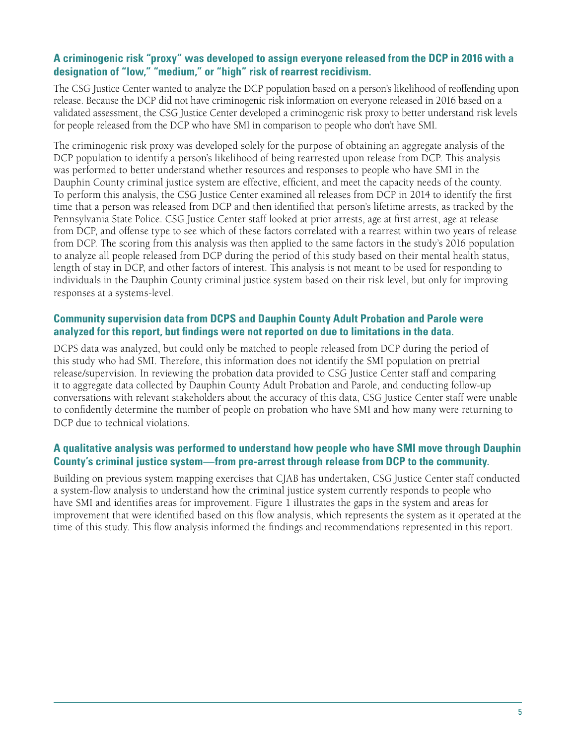### **A criminogenic risk "proxy" was developed to assign everyone released from the DCP in 2016 with a designation of "low," "medium," or "high" risk of rearrest recidivism.**

The CSG Justice Center wanted to analyze the DCP population based on a person's likelihood of reoffending upon release. Because the DCP did not have criminogenic risk information on everyone released in 2016 based on a validated assessment, the CSG Justice Center developed a criminogenic risk proxy to better understand risk levels for people released from the DCP who have SMI in comparison to people who don't have SMI.

The criminogenic risk proxy was developed solely for the purpose of obtaining an aggregate analysis of the DCP population to identify a person's likelihood of being rearrested upon release from DCP. This analysis was performed to better understand whether resources and responses to people who have SMI in the Dauphin County criminal justice system are effective, efficient, and meet the capacity needs of the county. To perform this analysis, the CSG Justice Center examined all releases from DCP in 2014 to identify the first time that a person was released from DCP and then identified that person's lifetime arrests, as tracked by the Pennsylvania State Police. CSG Justice Center staff looked at prior arrests, age at first arrest, age at release from DCP, and offense type to see which of these factors correlated with a rearrest within two years of release from DCP. The scoring from this analysis was then applied to the same factors in the study's 2016 population to analyze all people released from DCP during the period of this study based on their mental health status, length of stay in DCP, and other factors of interest. This analysis is not meant to be used for responding to individuals in the Dauphin County criminal justice system based on their risk level, but only for improving responses at a systems-level.

### **Community supervision data from DCPS and Dauphin County Adult Probation and Parole were analyzed for this report, but findings were not reported on due to limitations in the data.**

DCPS data was analyzed, but could only be matched to people released from DCP during the period of this study who had SMI. Therefore, this information does not identify the SMI population on pretrial release/supervision. In reviewing the probation data provided to CSG Justice Center staff and comparing it to aggregate data collected by Dauphin County Adult Probation and Parole, and conducting follow-up conversations with relevant stakeholders about the accuracy of this data, CSG Justice Center staff were unable to confidently determine the number of people on probation who have SMI and how many were returning to DCP due to technical violations.

### **A qualitative analysis was performed to understand how people who have SMI move through Dauphin County's criminal justice system—from pre-arrest through release from DCP to the community.**

Building on previous system mapping exercises that CJAB has undertaken, CSG Justice Center staff conducted a system-flow analysis to understand how the criminal justice system currently responds to people who have SMI and identifies areas for improvement. Figure 1 illustrates the gaps in the system and areas for improvement that were identified based on this flow analysis, which represents the system as it operated at the time of this study. This flow analysis informed the findings and recommendations represented in this report.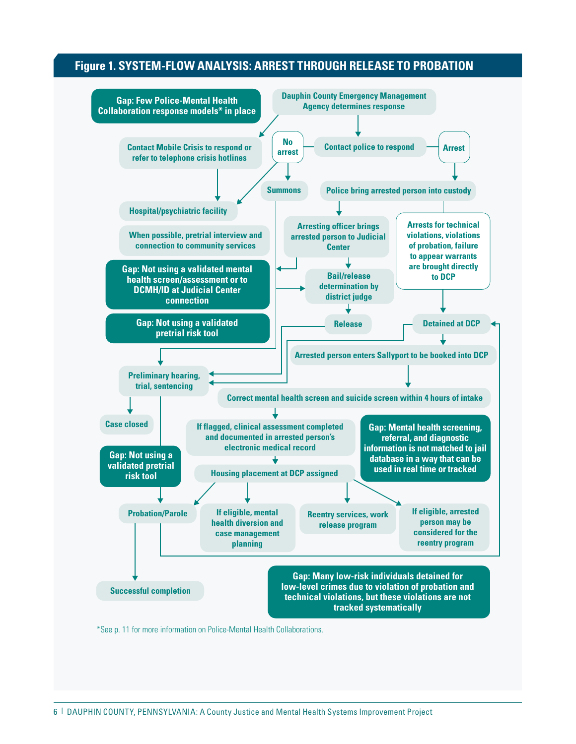### **Figure 1. SYSTEM-FLOW ANALYSIS: ARREST THROUGH RELEASE TO PROBATION**

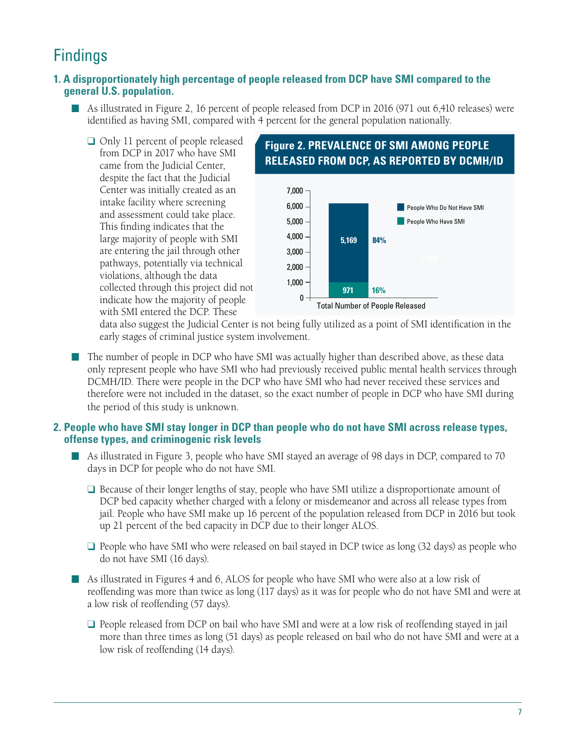### **Findings**

### **1. A disproportionately high percentage of people released from DCP have SMI compared to the general U.S. population.**

- As illustrated in Figure 2, 16 percent of people released from DCP in 2016 (971 out 6,410 releases) were identified as having SMI, compared with 4 percent for the general population nationally.
	- $\Box$  Only 11 percent of people released from DCP in 2017 who have SMI came from the Judicial Center, despite the fact that the Judicial Center was initially created as an intake facility where screening and assessment could take place. This finding indicates that the large majority of people with SMI are entering the jail through other pathways, potentially via technical violations, although the data collected through this project did not indicate how the majority of people with SMI entered the DCP. These



data also suggest the Judicial Center is not being fully utilized as a point of SMI identification in the early stages of criminal justice system involvement.

n The number of people in DCP who have SMI was actually higher than described above, as these data only represent people who have SMI who had previously received public mental health services through DCMH/ID. There were people in the DCP who have SMI who had never received these services and therefore were not included in the dataset, so the exact number of people in DCP who have SMI during the period of this study is unknown.

### **2. People who have SMI stay longer in DCP than people who do not have SMI across release types, offense types, and criminogenic risk levels**

- As illustrated in Figure 3, people who have SMI stayed an average of 98 days in DCP, compared to 70 days in DCP for people who do not have SMI.
	- $\Box$  Because of their longer lengths of stay, people who have SMI utilize a disproportionate amount of DCP bed capacity whether charged with a felony or misdemeanor and across all release types from jail. People who have SMI make up 16 percent of the population released from DCP in 2016 but took up 21 percent of the bed capacity in DCP due to their longer ALOS.
	- $\Box$  People who have SMI who were released on bail stayed in DCP twice as long (32 days) as people who do not have SMI (16 days).
- n As illustrated in Figures 4 and 6, ALOS for people who have SMI who were also at a low risk of reoffending was more than twice as long (117 days) as it was for people who do not have SMI and were at a low risk of reoffending (57 days).
	- People released from DCP on bail who have SMI and were at a low risk of reoffending stayed in jail more than three times as long (51 days) as people released on bail who do not have SMI and were at a low risk of reoffending (14 days).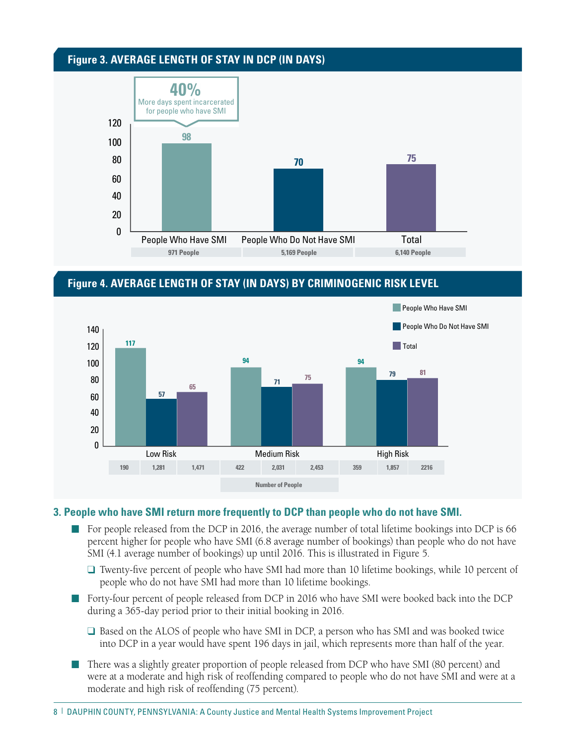### **Figure 3. AVERAGE LENGTH OF STAY IN DCP (IN DAYS)**



### **Figure 4. AVERAGE LENGTH OF STAY (IN DAYS) BY CRIMINOGENIC RISK LEVEL**



#### **3. People who have SMI return more frequently to DCP than people who do not have SMI.**

- $\blacksquare$  For people released from the DCP in 2016, the average number of total lifetime bookings into DCP is 66 percent higher for people who have SMI (6.8 average number of bookings) than people who do not have SMI (4.1 average number of bookings) up until 2016. This is illustrated in Figure 5.
	- $\Box$  Twenty-five percent of people who have SMI had more than 10 lifetime bookings, while 10 percent of people who do not have SMI had more than 10 lifetime bookings.
- n Forty-four percent of people released from DCP in 2016 who have SMI were booked back into the DCP during a 365-day period prior to their initial booking in 2016.
	- $\Box$  Based on the ALOS of people who have SMI in DCP, a person who has SMI and was booked twice into DCP in a year would have spent 196 days in jail, which represents more than half of the year.
- There was a slightly greater proportion of people released from DCP who have SMI (80 percent) and were at a moderate and high risk of reoffending compared to people who do not have SMI and were at a moderate and high risk of reoffending (75 percent).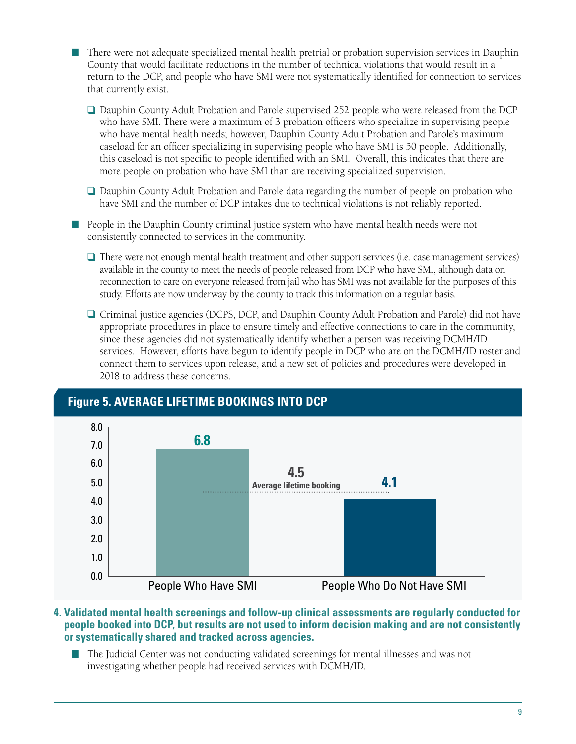n There were not adequate specialized mental health pretrial or probation supervision services in Dauphin County that would facilitate reductions in the number of technical violations that would result in a return to the DCP, and people who have SMI were not systematically identified for connection to services that currently exist.

□ Dauphin County Adult Probation and Parole supervised 252 people who were released from the DCP who have SMI. There were a maximum of 3 probation officers who specialize in supervising people who have mental health needs; however, Dauphin County Adult Probation and Parole's maximum caseload for an officer specializing in supervising people who have SMI is 50 people. Additionally, this caseload is not specific to people identified with an SMI. Overall, this indicates that there are more people on probation who have SMI than are receiving specialized supervision.

 $\Box$  Dauphin County Adult Probation and Parole data regarding the number of people on probation who have SMI and the number of DCP intakes due to technical violations is not reliably reported.

n People in the Dauphin County criminal justice system who have mental health needs were not consistently connected to services in the community.

- $\Box$  There were not enough mental health treatment and other support services (i.e. case management services) available in the county to meet the needs of people released from DCP who have SMI, although data on reconnection to care on everyone released from jail who has SMI was not available for the purposes of this study. Efforts are now underway by the county to track this information on a regular basis.
- $\Box$  Criminal justice agencies (DCPS, DCP, and Dauphin County Adult Probation and Parole) did not have appropriate procedures in place to ensure timely and effective connections to care in the community, since these agencies did not systematically identify whether a person was receiving DCMH/ID services. However, efforts have begun to identify people in DCP who are on the DCMH/ID roster and connect them to services upon release, and a new set of policies and procedures were developed in 2018 to address these concerns.



#### **4. Validated mental health screenings and follow-up clinical assessments are regularly conducted for people booked into DCP, but results are not used to inform decision making and are not consistently or systematically shared and tracked across agencies.**

n The Judicial Center was not conducting validated screenings for mental illnesses and was not investigating whether people had received services with DCMH/ID.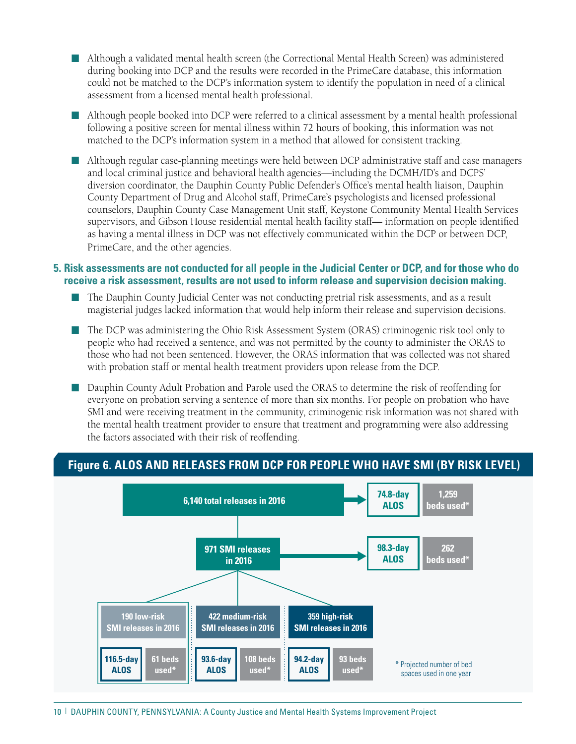- n Although a validated mental health screen (the Correctional Mental Health Screen) was administered during booking into DCP and the results were recorded in the PrimeCare database, this information could not be matched to the DCP's information system to identify the population in need of a clinical assessment from a licensed mental health professional.
- n Although people booked into DCP were referred to a clinical assessment by a mental health professional following a positive screen for mental illness within 72 hours of booking, this information was not matched to the DCP's information system in a method that allowed for consistent tracking.
- n Although regular case-planning meetings were held between DCP administrative staff and case managers and local criminal justice and behavioral health agencies—including the DCMH/ID's and DCPS' diversion coordinator, the Dauphin County Public Defender's Office's mental health liaison, Dauphin County Department of Drug and Alcohol staff, PrimeCare's psychologists and licensed professional counselors, Dauphin County Case Management Unit staff, Keystone Community Mental Health Services supervisors, and Gibson House residential mental health facility staff— information on people identified as having a mental illness in DCP was not effectively communicated within the DCP or between DCP, PrimeCare, and the other agencies.

#### **5. Risk assessments are not conducted for all people in the Judicial Center or DCP, and for those who do receive a risk assessment, results are not used to inform release and supervision decision making.**

- n The Dauphin County Judicial Center was not conducting pretrial risk assessments, and as a result magisterial judges lacked information that would help inform their release and supervision decisions.
- The DCP was administering the Ohio Risk Assessment System (ORAS) criminogenic risk tool only to people who had received a sentence, and was not permitted by the county to administer the ORAS to those who had not been sentenced. However, the ORAS information that was collected was not shared with probation staff or mental health treatment providers upon release from the DCP.
- Dauphin County Adult Probation and Parole used the ORAS to determine the risk of reoffending for everyone on probation serving a sentence of more than six months. For people on probation who have SMI and were receiving treatment in the community, criminogenic risk information was not shared with the mental health treatment provider to ensure that treatment and programming were also addressing the factors associated with their risk of reoffending.

### **Figure 6. ALOS AND RELEASES FROM DCP FOR PEOPLE WHO HAVE SMI (BY RISK LEVEL)**

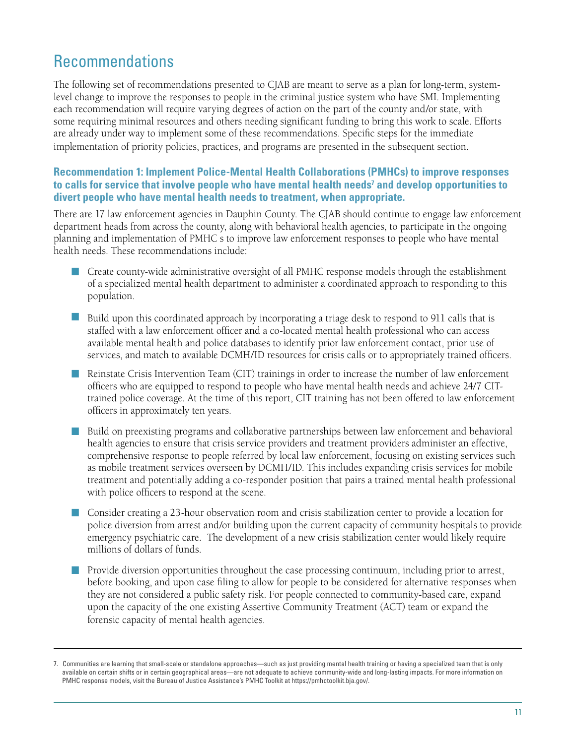### Recommendations

The following set of recommendations presented to CJAB are meant to serve as a plan for long-term, systemlevel change to improve the responses to people in the criminal justice system who have SMI. Implementing each recommendation will require varying degrees of action on the part of the county and/or state, with some requiring minimal resources and others needing significant funding to bring this work to scale. Efforts are already under way to implement some of these recommendations. Specific steps for the immediate implementation of priority policies, practices, and programs are presented in the subsequent section.

### **Recommendation 1: Implement Police-Mental Health Collaborations (PMHCs) to improve responses to calls for service that involve people who have mental health needs7 and develop opportunities to divert people who have mental health needs to treatment, when appropriate.**

There are 17 law enforcement agencies in Dauphin County. The CJAB should continue to engage law enforcement department heads from across the county, along with behavioral health agencies, to participate in the ongoing planning and implementation of PMHC s to improve law enforcement responses to people who have mental health needs. These recommendations include:

- n Create county-wide administrative oversight of all PMHC response models through the establishment of a specialized mental health department to administer a coordinated approach to responding to this population.
- Build upon this coordinated approach by incorporating a triage desk to respond to 911 calls that is staffed with a law enforcement officer and a co-located mental health professional who can access available mental health and police databases to identify prior law enforcement contact, prior use of services, and match to available DCMH/ID resources for crisis calls or to appropriately trained officers.
- n Reinstate Crisis Intervention Team (CIT) trainings in order to increase the number of law enforcement officers who are equipped to respond to people who have mental health needs and achieve 24/7 CITtrained police coverage. At the time of this report, CIT training has not been offered to law enforcement officers in approximately ten years.
- n Build on preexisting programs and collaborative partnerships between law enforcement and behavioral health agencies to ensure that crisis service providers and treatment providers administer an effective, comprehensive response to people referred by local law enforcement, focusing on existing services such as mobile treatment services overseen by DCMH/ID. This includes expanding crisis services for mobile treatment and potentially adding a co-responder position that pairs a trained mental health professional with police officers to respond at the scene.
- **n** Consider creating a 23-hour observation room and crisis stabilization center to provide a location for police diversion from arrest and/or building upon the current capacity of community hospitals to provide emergency psychiatric care. The development of a new crisis stabilization center would likely require millions of dollars of funds.
- n Provide diversion opportunities throughout the case processing continuum, including prior to arrest, before booking, and upon case filing to allow for people to be considered for alternative responses when they are not considered a public safety risk. For people connected to community-based care, expand upon the capacity of the one existing Assertive Community Treatment (ACT) team or expand the forensic capacity of mental health agencies.

<sup>7.</sup> Communities are learning that small-scale or standalone approaches—such as just providing mental health training or having a specialized team that is only available on certain shifts or in certain geographical areas—are not adequate to achieve community-wide and long-lasting impacts. For more information on PMHC response models, visit the Bureau of Justice Assistance's PMHC Toolkit at https://pmhctoolkit.bja.gov/.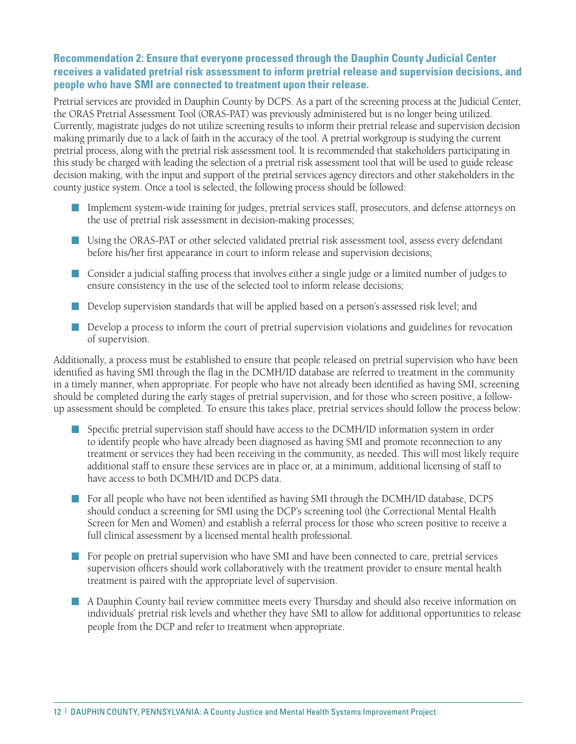### **Recommendation 2: Ensure that everyone processed through the Dauphin County Judicial Center receives a validated pretrial risk assessment to inform pretrial release and supervision decisions, and people who have SMI are connected to treatment upon their release.**

Pretrial services are provided in Dauphin County by DCPS. As a part of the screening process at the Judicial Center, the ORAS Pretrial Assessment Tool (ORAS-PAT) was previously administered but is no longer being utilized. Currently, magistrate judges do not utilize screening results to inform their pretrial release and supervision decision making primarily due to a lack of faith in the accuracy of the tool. A pretrial workgroup is studying the current pretrial process, along with the pretrial risk assessment tool. It is recommended that stakeholders participating in this study be charged with leading the selection of a pretrial risk assessment tool that will be used to guide release decision making, with the input and support of the pretrial services agency directors and other stakeholders in the county justice system. Once a tool is selected, the following process should be followed:

- n Implement system-wide training for judges, pretrial services staff, prosecutors, and defense attorneys on the use of pretrial risk assessment in decision-making processes;
- **n** Using the ORAS-PAT or other selected validated pretrial risk assessment tool, assess every defendant before his/her first appearance in court to inform release and supervision decisions;
- Consider a judicial staffing process that involves either a single judge or a limited number of judges to ensure consistency in the use of the selected tool to inform release decisions;
- n Develop supervision standards that will be applied based on a person's assessed risk level; and
- n Develop a process to inform the court of pretrial supervision violations and guidelines for revocation of supervision.

Additionally, a process must be established to ensure that people released on pretrial supervision who have been identified as having SMI through the flag in the DCMH/ID database are referred to treatment in the community in a timely manner, when appropriate. For people who have not already been identified as having SMI, screening should be completed during the early stages of pretrial supervision, and for those who screen positive, a followup assessment should be completed. To ensure this takes place, pretrial services should follow the process below:

- Specific pretrial supervision staff should have access to the DCMH/ID information system in order to identify people who have already been diagnosed as having SMI and promote reconnection to any treatment or services they had been receiving in the community, as needed. This will most likely require additional staff to ensure these services are in place or, at a minimum, additional licensing of staff to have access to both DCMH/ID and DCPS data.
- For all people who have not been identified as having SMI through the DCMH/ID database, DCPS should conduct a screening for SMI using the DCP's screening tool (the Correctional Mental Health Screen for Men and Women) and establish a referral process for those who screen positive to receive a full clinical assessment by a licensed mental health professional.
- n For people on pretrial supervision who have SMI and have been connected to care, pretrial services supervision officers should work collaboratively with the treatment provider to ensure mental health treatment is paired with the appropriate level of supervision.
- n A Dauphin County bail review committee meets every Thursday and should also receive information on individuals' pretrial risk levels and whether they have SMI to allow for additional opportunities to release people from the DCP and refer to treatment when appropriate.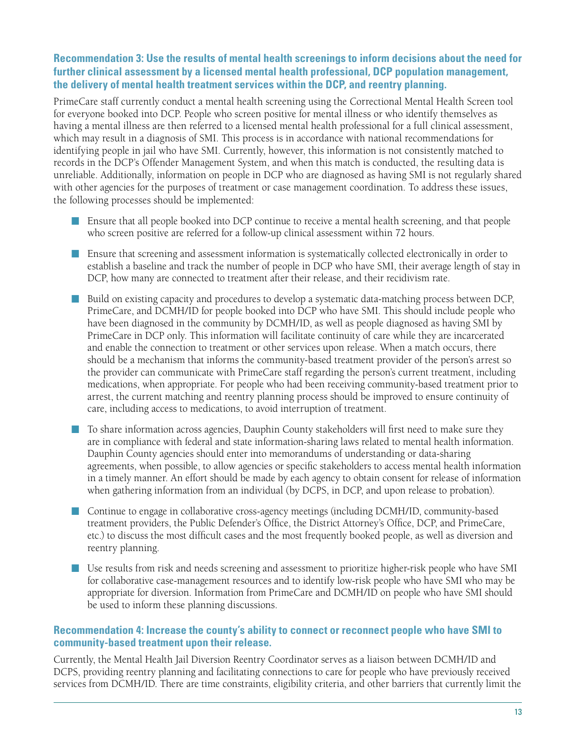### **Recommendation 3: Use the results of mental health screenings to inform decisions about the need for further clinical assessment by a licensed mental health professional, DCP population management, the delivery of mental health treatment services within the DCP, and reentry planning.**

PrimeCare staff currently conduct a mental health screening using the Correctional Mental Health Screen tool for everyone booked into DCP. People who screen positive for mental illness or who identify themselves as having a mental illness are then referred to a licensed mental health professional for a full clinical assessment, which may result in a diagnosis of SMI. This process is in accordance with national recommendations for identifying people in jail who have SMI. Currently, however, this information is not consistently matched to records in the DCP's Offender Management System, and when this match is conducted, the resulting data is unreliable. Additionally, information on people in DCP who are diagnosed as having SMI is not regularly shared with other agencies for the purposes of treatment or case management coordination. To address these issues, the following processes should be implemented:

- Ensure that all people booked into DCP continue to receive a mental health screening, and that people who screen positive are referred for a follow-up clinical assessment within 72 hours.
- **n** Ensure that screening and assessment information is systematically collected electronically in order to establish a baseline and track the number of people in DCP who have SMI, their average length of stay in DCP, how many are connected to treatment after their release, and their recidivism rate.
- Build on existing capacity and procedures to develop a systematic data-matching process between DCP, PrimeCare, and DCMH/ID for people booked into DCP who have SMI. This should include people who have been diagnosed in the community by DCMH/ID, as well as people diagnosed as having SMI by PrimeCare in DCP only. This information will facilitate continuity of care while they are incarcerated and enable the connection to treatment or other services upon release. When a match occurs, there should be a mechanism that informs the community-based treatment provider of the person's arrest so the provider can communicate with PrimeCare staff regarding the person's current treatment, including medications, when appropriate. For people who had been receiving community-based treatment prior to arrest, the current matching and reentry planning process should be improved to ensure continuity of care, including access to medications, to avoid interruption of treatment.
- To share information across agencies, Dauphin County stakeholders will first need to make sure they are in compliance with federal and state information-sharing laws related to mental health information. Dauphin County agencies should enter into memorandums of understanding or data-sharing agreements, when possible, to allow agencies or specific stakeholders to access mental health information in a timely manner. An effort should be made by each agency to obtain consent for release of information when gathering information from an individual (by DCPS, in DCP, and upon release to probation).
- Continue to engage in collaborative cross-agency meetings (including DCMH/ID, community-based treatment providers, the Public Defender's Office, the District Attorney's Office, DCP, and PrimeCare, etc.) to discuss the most difficult cases and the most frequently booked people, as well as diversion and reentry planning.
- Use results from risk and needs screening and assessment to prioritize higher-risk people who have SMI for collaborative case-management resources and to identify low-risk people who have SMI who may be appropriate for diversion. Information from PrimeCare and DCMH/ID on people who have SMI should be used to inform these planning discussions.

### **Recommendation 4: Increase the county's ability to connect or reconnect people who have SMI to community-based treatment upon their release.**

Currently, the Mental Health Jail Diversion Reentry Coordinator serves as a liaison between DCMH/ID and DCPS, providing reentry planning and facilitating connections to care for people who have previously received services from DCMH/ID. There are time constraints, eligibility criteria, and other barriers that currently limit the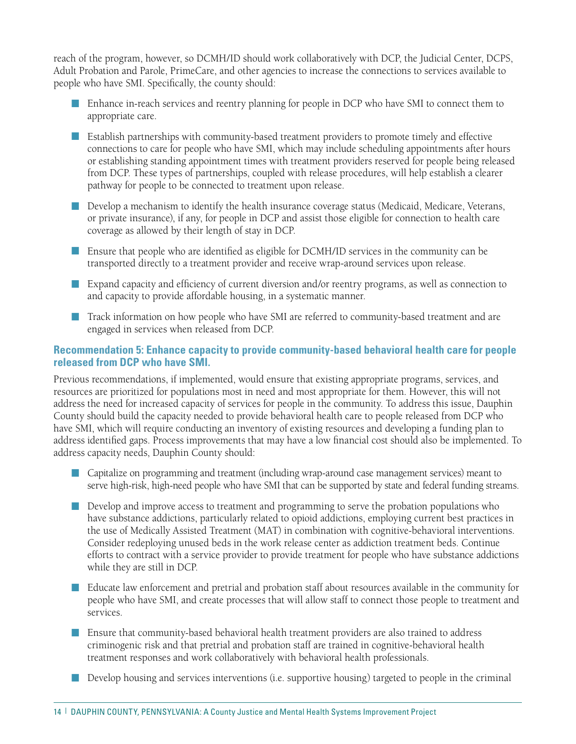reach of the program, however, so DCMH/ID should work collaboratively with DCP, the Judicial Center, DCPS, Adult Probation and Parole, PrimeCare, and other agencies to increase the connections to services available to people who have SMI. Specifically, the county should:

- Enhance in-reach services and reentry planning for people in DCP who have SMI to connect them to appropriate care.
- n Establish partnerships with community-based treatment providers to promote timely and effective connections to care for people who have SMI, which may include scheduling appointments after hours or establishing standing appointment times with treatment providers reserved for people being released from DCP. These types of partnerships, coupled with release procedures, will help establish a clearer pathway for people to be connected to treatment upon release.
- n Develop a mechanism to identify the health insurance coverage status (Medicaid, Medicare, Veterans, or private insurance), if any, for people in DCP and assist those eligible for connection to health care coverage as allowed by their length of stay in DCP.
- n Ensure that people who are identified as eligible for DCMH/ID services in the community can be transported directly to a treatment provider and receive wrap-around services upon release.
- Expand capacity and efficiency of current diversion and/or reentry programs, as well as connection to and capacity to provide affordable housing, in a systematic manner.
- n Track information on how people who have SMI are referred to community-based treatment and are engaged in services when released from DCP.

#### **Recommendation 5: Enhance capacity to provide community-based behavioral health care for people released from DCP who have SMI.**

Previous recommendations, if implemented, would ensure that existing appropriate programs, services, and resources are prioritized for populations most in need and most appropriate for them. However, this will not address the need for increased capacity of services for people in the community. To address this issue, Dauphin County should build the capacity needed to provide behavioral health care to people released from DCP who have SMI, which will require conducting an inventory of existing resources and developing a funding plan to address identified gaps. Process improvements that may have a low financial cost should also be implemented. To address capacity needs, Dauphin County should:

- n Capitalize on programming and treatment (including wrap-around case management services) meant to serve high-risk, high-need people who have SMI that can be supported by state and federal funding streams.
- n Develop and improve access to treatment and programming to serve the probation populations who have substance addictions, particularly related to opioid addictions, employing current best practices in the use of Medically Assisted Treatment (MAT) in combination with cognitive-behavioral interventions. Consider redeploying unused beds in the work release center as addiction treatment beds. Continue efforts to contract with a service provider to provide treatment for people who have substance addictions while they are still in DCP.
- n Educate law enforcement and pretrial and probation staff about resources available in the community for people who have SMI, and create processes that will allow staff to connect those people to treatment and services.
- **n** Ensure that community-based behavioral health treatment providers are also trained to address criminogenic risk and that pretrial and probation staff are trained in cognitive-behavioral health treatment responses and work collaboratively with behavioral health professionals.
- Develop housing and services interventions (i.e. supportive housing) targeted to people in the criminal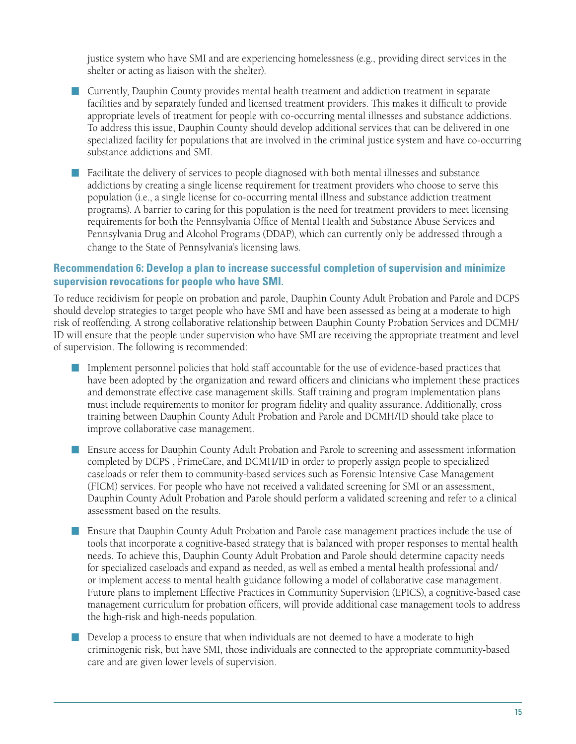justice system who have SMI and are experiencing homelessness (e.g., providing direct services in the shelter or acting as liaison with the shelter).

- n Currently, Dauphin County provides mental health treatment and addiction treatment in separate facilities and by separately funded and licensed treatment providers. This makes it difficult to provide appropriate levels of treatment for people with co-occurring mental illnesses and substance addictions. To address this issue, Dauphin County should develop additional services that can be delivered in one specialized facility for populations that are involved in the criminal justice system and have co-occurring substance addictions and SMI.
- n Facilitate the delivery of services to people diagnosed with both mental illnesses and substance addictions by creating a single license requirement for treatment providers who choose to serve this population (i.e., a single license for co-occurring mental illness and substance addiction treatment programs). A barrier to caring for this population is the need for treatment providers to meet licensing requirements for both the Pennsylvania Office of Mental Health and Substance Abuse Services and Pennsylvania Drug and Alcohol Programs (DDAP), which can currently only be addressed through a change to the State of Pennsylvania's licensing laws.

### **Recommendation 6: Develop a plan to increase successful completion of supervision and minimize supervision revocations for people who have SMI.**

To reduce recidivism for people on probation and parole, Dauphin County Adult Probation and Parole and DCPS should develop strategies to target people who have SMI and have been assessed as being at a moderate to high risk of reoffending. A strong collaborative relationship between Dauphin County Probation Services and DCMH/ ID will ensure that the people under supervision who have SMI are receiving the appropriate treatment and level of supervision. The following is recommended:

- n Implement personnel policies that hold staff accountable for the use of evidence-based practices that have been adopted by the organization and reward officers and clinicians who implement these practices and demonstrate effective case management skills. Staff training and program implementation plans must include requirements to monitor for program fidelity and quality assurance. Additionally, cross training between Dauphin County Adult Probation and Parole and DCMH/ID should take place to improve collaborative case management.
- **n** Ensure access for Dauphin County Adult Probation and Parole to screening and assessment information completed by DCPS , PrimeCare, and DCMH/ID in order to properly assign people to specialized caseloads or refer them to community-based services such as Forensic Intensive Case Management (FICM) services. For people who have not received a validated screening for SMI or an assessment, Dauphin County Adult Probation and Parole should perform a validated screening and refer to a clinical assessment based on the results.
- **n** Ensure that Dauphin County Adult Probation and Parole case management practices include the use of tools that incorporate a cognitive-based strategy that is balanced with proper responses to mental health needs. To achieve this, Dauphin County Adult Probation and Parole should determine capacity needs for specialized caseloads and expand as needed, as well as embed a mental health professional and/ or implement access to mental health guidance following a model of collaborative case management. Future plans to implement Effective Practices in Community Supervision (EPICS), a cognitive-based case management curriculum for probation officers, will provide additional case management tools to address the high-risk and high-needs population.
- **n** Develop a process to ensure that when individuals are not deemed to have a moderate to high criminogenic risk, but have SMI, those individuals are connected to the appropriate community-based care and are given lower levels of supervision.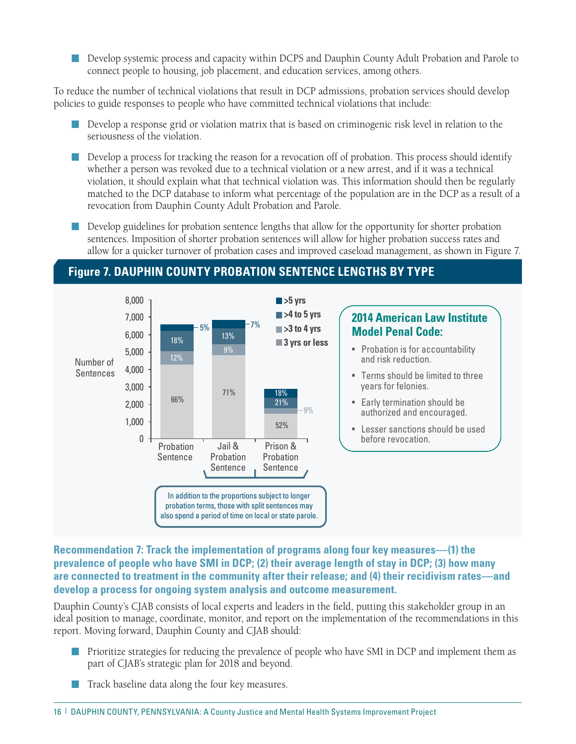n Develop systemic process and capacity within DCPS and Dauphin County Adult Probation and Parole to connect people to housing, job placement, and education services, among others.

To reduce the number of technical violations that result in DCP admissions, probation services should develop policies to guide responses to people who have committed technical violations that include:

- n Develop a response grid or violation matrix that is based on criminogenic risk level in relation to the seriousness of the violation.
- n Develop a process for tracking the reason for a revocation off of probation. This process should identify whether a person was revoked due to a technical violation or a new arrest, and if it was a technical violation, it should explain what that technical violation was. This information should then be regularly matched to the DCP database to inform what percentage of the population are in the DCP as a result of a revocation from Dauphin County Adult Probation and Parole.
- **n** Develop guidelines for probation sentence lengths that allow for the opportunity for shorter probation sentences. Imposition of shorter probation sentences will allow for higher probation success rates and allow for a quicker turnover of probation cases and improved caseload management, as shown in Figure 7.

### **Figure 7. DAUPHIN COUNTY PROBATION SENTENCE LENGTHS BY TYPE**



**Recommendation 7: Track the implementation of programs along four key measures—(1) the prevalence of people who have SMI in DCP; (2) their average length of stay in DCP; (3) how many are connected to treatment in the community after their release; and (4) their recidivism rates—and develop a process for ongoing system analysis and outcome measurement.**

Dauphin County's CJAB consists of local experts and leaders in the field, putting this stakeholder group in an ideal position to manage, coordinate, monitor, and report on the implementation of the recommendations in this report. Moving forward, Dauphin County and CJAB should:

- Prioritize strategies for reducing the prevalence of people who have SMI in DCP and implement them as part of CJAB's strategic plan for 2018 and beyond.
- Track baseline data along the four key measures.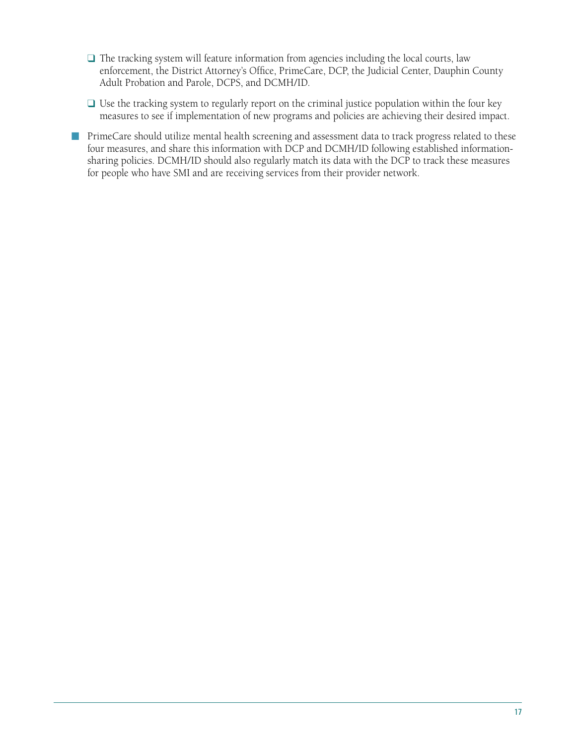- $\Box$  The tracking system will feature information from agencies including the local courts, law enforcement, the District Attorney's Office, PrimeCare, DCP, the Judicial Center, Dauphin County Adult Probation and Parole, DCPS, and DCMH/ID.
- $\Box$  Use the tracking system to regularly report on the criminal justice population within the four key measures to see if implementation of new programs and policies are achieving their desired impact.
- PrimeCare should utilize mental health screening and assessment data to track progress related to these four measures, and share this information with DCP and DCMH/ID following established informationsharing policies. DCMH/ID should also regularly match its data with the DCP to track these measures for people who have SMI and are receiving services from their provider network.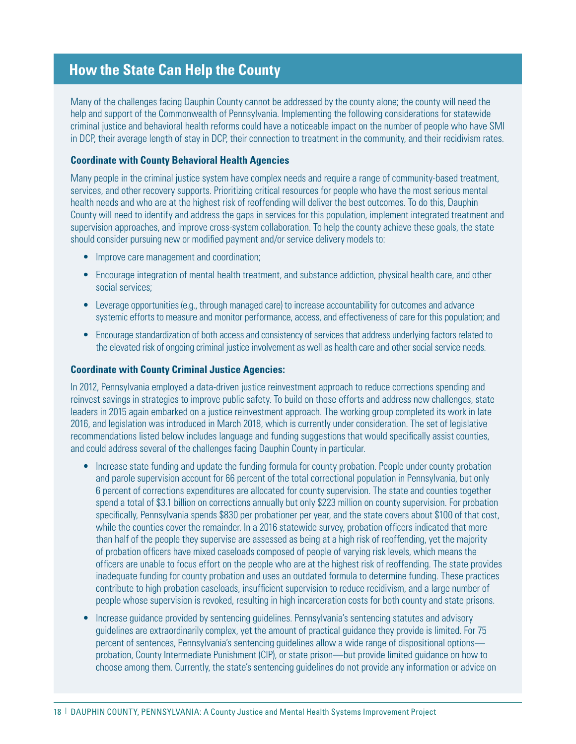### **How the State Can Help the County**

Many of the challenges facing Dauphin County cannot be addressed by the county alone; the county will need the help and support of the Commonwealth of Pennsylvania. Implementing the following considerations for statewide criminal justice and behavioral health reforms could have a noticeable impact on the number of people who have SMI in DCP, their average length of stay in DCP, their connection to treatment in the community, and their recidivism rates.

#### **Coordinate with County Behavioral Health Agencies**

Many people in the criminal justice system have complex needs and require a range of community-based treatment, services, and other recovery supports. Prioritizing critical resources for people who have the most serious mental health needs and who are at the highest risk of reoffending will deliver the best outcomes. To do this, Dauphin County will need to identify and address the gaps in services for this population, implement integrated treatment and supervision approaches, and improve cross-system collaboration. To help the county achieve these goals, the state should consider pursuing new or modified payment and/or service delivery models to:

- Improve care management and coordination;
- Encourage integration of mental health treatment, and substance addiction, physical health care, and other social services;
- Leverage opportunities (e.g., through managed care) to increase accountability for outcomes and advance systemic efforts to measure and monitor performance, access, and effectiveness of care for this population; and
- Encourage standardization of both access and consistency of services that address underlying factors related to the elevated risk of ongoing criminal justice involvement as well as health care and other social service needs.

#### **Coordinate with County Criminal Justice Agencies:**

In 2012, Pennsylvania employed a data-driven justice reinvestment approach to reduce corrections spending and reinvest savings in strategies to improve public safety. To build on those efforts and address new challenges, state leaders in 2015 again embarked on a justice reinvestment approach. The working group completed its work in late 2016, and legislation was introduced in March 2018, which is currently under consideration. The set of legislative recommendations listed below includes language and funding suggestions that would specifically assist counties, and could address several of the challenges facing Dauphin County in particular.

- Increase state funding and update the funding formula for county probation. People under county probation and parole supervision account for 66 percent of the total correctional population in Pennsylvania, but only 6 percent of corrections expenditures are allocated for county supervision. The state and counties together spend a total of \$3.1 billion on corrections annually but only \$223 million on county supervision. For probation specifically, Pennsylvania spends \$830 per probationer per year, and the state covers about \$100 of that cost, while the counties cover the remainder. In a 2016 statewide survey, probation officers indicated that more than half of the people they supervise are assessed as being at a high risk of reoffending, yet the majority of probation officers have mixed caseloads composed of people of varying risk levels, which means the officers are unable to focus effort on the people who are at the highest risk of reoffending. The state provides inadequate funding for county probation and uses an outdated formula to determine funding. These practices contribute to high probation caseloads, insufficient supervision to reduce recidivism, and a large number of people whose supervision is revoked, resulting in high incarceration costs for both county and state prisons.
- Increase guidance provided by sentencing guidelines. Pennsylvania's sentencing statutes and advisory guidelines are extraordinarily complex, yet the amount of practical guidance they provide is limited. For 75 percent of sentences, Pennsylvania's sentencing guidelines allow a wide range of dispositional options probation, County Intermediate Punishment (CIP), or state prison—but provide limited guidance on how to choose among them. Currently, the state's sentencing guidelines do not provide any information or advice on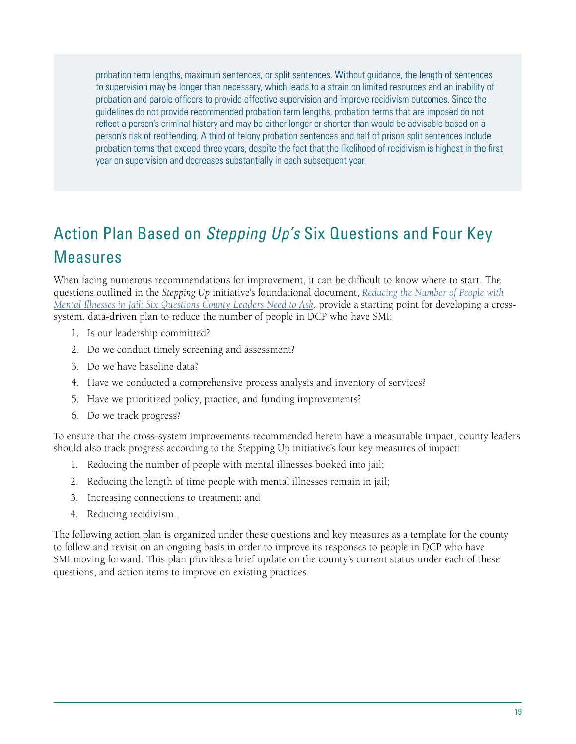probation term lengths, maximum sentences, or split sentences. Without guidance, the length of sentences to supervision may be longer than necessary, which leads to a strain on limited resources and an inability of probation and parole officers to provide effective supervision and improve recidivism outcomes. Since the guidelines do not provide recommended probation term lengths, probation terms that are imposed do not reflect a person's criminal history and may be either longer or shorter than would be advisable based on a person's risk of reoffending. A third of felony probation sentences and half of prison split sentences include probation terms that exceed three years, despite the fact that the likelihood of recidivism is highest in the first year on supervision and decreases substantially in each subsequent year.

## Action Plan Based on *Stepping Up's* Six Questions and Four Key Measures

When facing numerous recommendations for improvement, it can be difficult to know where to start. The questions outlined in the *Stepping Up* initiative's foundational document, *[Reducing the Number of People with](https://stepuptogether.org/wp-content/uploads/2017/01/Reducing-the-Number-of-People-with-Mental-Illnesses-in-Jail_Six-Questions.pdf)  [Mental Illnesses in Jail: Six Questions County Leaders Need to Ask](https://stepuptogether.org/wp-content/uploads/2017/01/Reducing-the-Number-of-People-with-Mental-Illnesses-in-Jail_Six-Questions.pdf)*, provide a starting point for developing a crosssystem, data-driven plan to reduce the number of people in DCP who have SMI:

- 1. Is our leadership committed?
- 2. Do we conduct timely screening and assessment?
- 3. Do we have baseline data?
- 4. Have we conducted a comprehensive process analysis and inventory of services?
- 5. Have we prioritized policy, practice, and funding improvements?
- 6. Do we track progress?

To ensure that the cross-system improvements recommended herein have a measurable impact, county leaders should also track progress according to the Stepping Up initiative's four key measures of impact:

- 1. Reducing the number of people with mental illnesses booked into jail;
- 2. Reducing the length of time people with mental illnesses remain in jail;
- 3. Increasing connections to treatment; and
- 4. Reducing recidivism.

The following action plan is organized under these questions and key measures as a template for the county to follow and revisit on an ongoing basis in order to improve its responses to people in DCP who have SMI moving forward. This plan provides a brief update on the county's current status under each of these questions, and action items to improve on existing practices.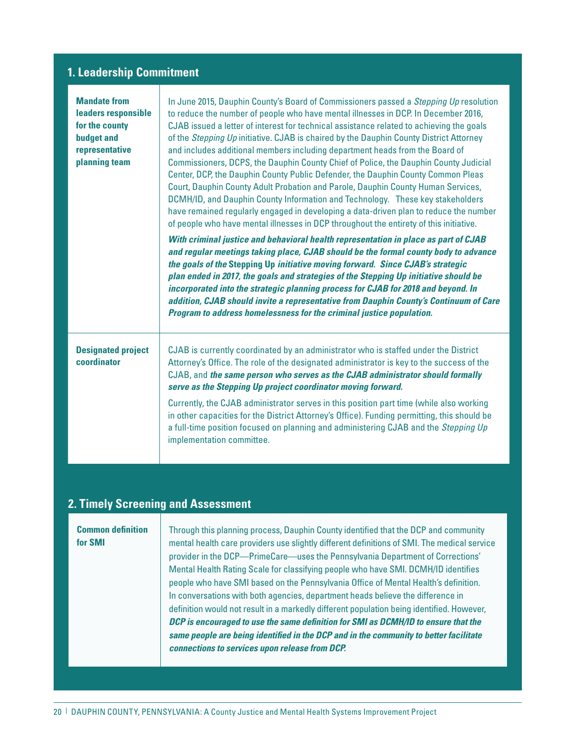### **1. Leadership Commitment**

| <b>Mandate from</b><br>leaders responsible<br>for the county<br><b>budget and</b><br>representative<br>planning team | In June 2015, Dauphin County's Board of Commissioners passed a Stepping Up resolution<br>to reduce the number of people who have mental illnesses in DCP. In December 2016,<br>CJAB issued a letter of interest for technical assistance related to achieving the goals<br>of the Stepping Up initiative. CJAB is chaired by the Dauphin County District Attorney<br>and includes additional members including department heads from the Board of<br>Commissioners, DCPS, the Dauphin County Chief of Police, the Dauphin County Judicial<br>Center, DCP, the Dauphin County Public Defender, the Dauphin County Common Pleas<br>Court, Dauphin County Adult Probation and Parole, Dauphin County Human Services,<br>DCMH/ID, and Dauphin County Information and Technology. These key stakeholders<br>have remained regularly engaged in developing a data-driven plan to reduce the number<br>of people who have mental illnesses in DCP throughout the entirety of this initiative. |
|----------------------------------------------------------------------------------------------------------------------|----------------------------------------------------------------------------------------------------------------------------------------------------------------------------------------------------------------------------------------------------------------------------------------------------------------------------------------------------------------------------------------------------------------------------------------------------------------------------------------------------------------------------------------------------------------------------------------------------------------------------------------------------------------------------------------------------------------------------------------------------------------------------------------------------------------------------------------------------------------------------------------------------------------------------------------------------------------------------------------|
|                                                                                                                      | With criminal justice and behavioral health representation in place as part of CJAB<br>and regular meetings taking place, CJAB should be the formal county body to advance<br>the goals of the Stepping Up initiative moving forward. Since CJAB's strategic<br>plan ended in 2017, the goals and strategies of the Stepping Up initiative should be<br>incorporated into the strategic planning process for CJAB for 2018 and beyond. In<br>addition, CJAB should invite a representative from Dauphin County's Continuum of Care<br>Program to address homelessness for the criminal justice population.                                                                                                                                                                                                                                                                                                                                                                             |
| <b>Designated project</b><br>coordinator                                                                             | CJAB is currently coordinated by an administrator who is staffed under the District<br>Attorney's Office. The role of the designated administrator is key to the success of the<br>CJAB, and the same person who serves as the CJAB administrator should formally<br>serve as the Stepping Up project coordinator moving forward.<br>Currently, the CJAB administrator serves in this position part time (while also working<br>in other capacities for the District Attorney's Office). Funding permitting, this should be<br>a full-time position focused on planning and administering CJAB and the Stepping Up<br>implementation committee.                                                                                                                                                                                                                                                                                                                                        |

### **2. Timely Screening and Assessment**

**Common definition** | Through this planning process, Dauphin County identified that the DCP and community **for SMI** mental health care providers use slightly different definitions of SMI. The medical service provider in the DCP—PrimeCare—uses the Pennsylvania Department of Corrections' Mental Health Rating Scale for classifying people who have SMI. DCMH/ID identifies people who have SMI based on the Pennsylvania Office of Mental Health's definition. In conversations with both agencies, department heads believe the difference in definition would not result in a markedly different population being identified. However, *DCP is encouraged to use the same definition for SMI as DCMH/ID to ensure that the same people are being identified in the DCP and in the community to better facilitate connections to services upon release from DCP.*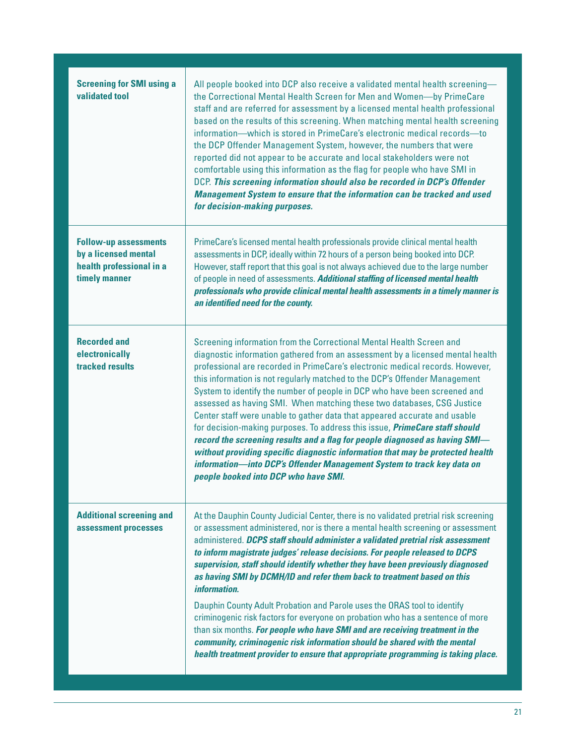| <b>Screening for SMI using a</b><br><b>validated tool</b>                                         | All people booked into DCP also receive a validated mental health screening-<br>the Correctional Mental Health Screen for Men and Women-by PrimeCare<br>staff and are referred for assessment by a licensed mental health professional<br>based on the results of this screening. When matching mental health screening<br>information—which is stored in PrimeCare's electronic medical records—to<br>the DCP Offender Management System, however, the numbers that were<br>reported did not appear to be accurate and local stakeholders were not<br>comfortable using this information as the flag for people who have SMI in<br>DCP. This screening information should also be recorded in DCP's Offender<br><b>Management System to ensure that the information can be tracked and used</b><br>for decision-making purposes.                                                                                                      |
|---------------------------------------------------------------------------------------------------|----------------------------------------------------------------------------------------------------------------------------------------------------------------------------------------------------------------------------------------------------------------------------------------------------------------------------------------------------------------------------------------------------------------------------------------------------------------------------------------------------------------------------------------------------------------------------------------------------------------------------------------------------------------------------------------------------------------------------------------------------------------------------------------------------------------------------------------------------------------------------------------------------------------------------------------|
| <b>Follow-up assessments</b><br>by a licensed mental<br>health professional in a<br>timely manner | PrimeCare's licensed mental health professionals provide clinical mental health<br>assessments in DCP, ideally within 72 hours of a person being booked into DCP.<br>However, staff report that this goal is not always achieved due to the large number<br>of people in need of assessments. Additional staffing of licensed mental health<br>professionals who provide clinical mental health assessments in a timely manner is<br>an identified need for the county.                                                                                                                                                                                                                                                                                                                                                                                                                                                                |
| <b>Recorded and</b><br>electronically<br>tracked results                                          | Screening information from the Correctional Mental Health Screen and<br>diagnostic information gathered from an assessment by a licensed mental health<br>professional are recorded in PrimeCare's electronic medical records. However,<br>this information is not regularly matched to the DCP's Offender Management<br>System to identify the number of people in DCP who have been screened and<br>assessed as having SMI. When matching these two databases, CSG Justice<br>Center staff were unable to gather data that appeared accurate and usable<br>for decision-making purposes. To address this issue, <i>PrimeCare staff should</i><br>record the screening results and a flag for people diagnosed as having SMI-<br>without providing specific diagnostic information that may be protected health<br>information-into DCP's Offender Management System to track key data on<br>people booked into DCP who have SMI.     |
| <b>Additional screening and</b><br>assessment processes                                           | At the Dauphin County Judicial Center, there is no validated pretrial risk screening<br>or assessment administered, nor is there a mental health screening or assessment<br>administered. DCPS staff should administer a validated pretrial risk assessment<br>to inform magistrate judges' release decisions. For people released to DCPS<br>supervision, staff should identify whether they have been previously diagnosed<br>as having SMI by DCMH/ID and refer them back to treatment based on this<br>information.<br>Dauphin County Adult Probation and Parole uses the ORAS tool to identify<br>criminogenic risk factors for everyone on probation who has a sentence of more<br>than six months. For people who have SMI and are receiving treatment in the<br>community, criminogenic risk information should be shared with the mental<br>health treatment provider to ensure that appropriate programming is taking place. |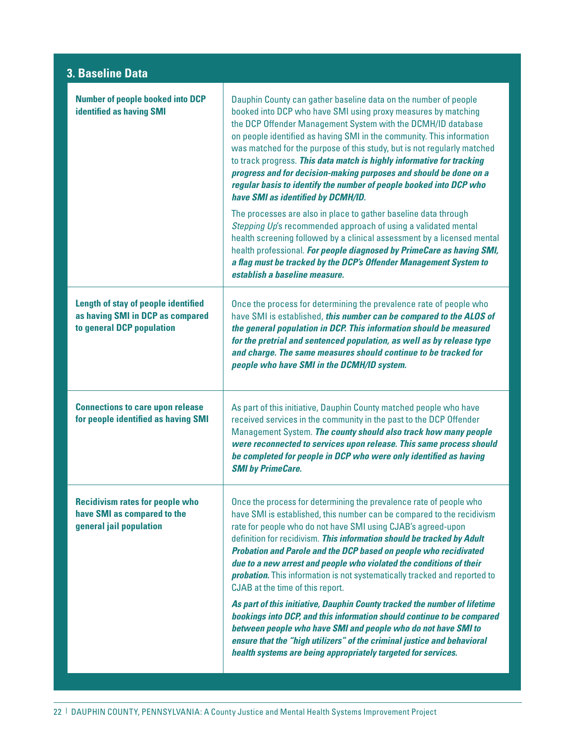### **3. Baseline Data**

Т

| <b>Number of people booked into DCP</b><br><b>identified as having SMI</b>                                  | Dauphin County can gather baseline data on the number of people<br>booked into DCP who have SMI using proxy measures by matching<br>the DCP Offender Management System with the DCMH/ID database<br>on people identified as having SMI in the community. This information<br>was matched for the purpose of this study, but is not regularly matched<br>to track progress. This data match is highly informative for tracking<br>progress and for decision-making purposes and should be done on a<br>regular basis to identify the number of people booked into DCP who<br>have SMI as identified by DCMH/ID.<br>The processes are also in place to gather baseline data through<br>Stepping Up's recommended approach of using a validated mental<br>health screening followed by a clinical assessment by a licensed mental<br>health professional. For people diagnosed by PrimeCare as having SMI,<br>a flag must be tracked by the DCP's Offender Management System to<br>establish a baseline measure. |
|-------------------------------------------------------------------------------------------------------------|---------------------------------------------------------------------------------------------------------------------------------------------------------------------------------------------------------------------------------------------------------------------------------------------------------------------------------------------------------------------------------------------------------------------------------------------------------------------------------------------------------------------------------------------------------------------------------------------------------------------------------------------------------------------------------------------------------------------------------------------------------------------------------------------------------------------------------------------------------------------------------------------------------------------------------------------------------------------------------------------------------------|
| <b>Length of stay of people identified</b><br>as having SMI in DCP as compared<br>to general DCP population | Once the process for determining the prevalence rate of people who<br>have SMI is established, this number can be compared to the ALOS of<br>the general population in DCP. This information should be measured<br>for the pretrial and sentenced population, as well as by release type<br>and charge. The same measures should continue to be tracked for<br>people who have SMI in the DCMH/ID system.                                                                                                                                                                                                                                                                                                                                                                                                                                                                                                                                                                                                     |
| <b>Connections to care upon release</b><br>for people identified as having SMI                              | As part of this initiative, Dauphin County matched people who have<br>received services in the community in the past to the DCP Offender<br>Management System. The county should also track how many people<br>were reconnected to services upon release. This same process should<br>be completed for people in DCP who were only identified as having<br><b>SMI</b> by PrimeCare.                                                                                                                                                                                                                                                                                                                                                                                                                                                                                                                                                                                                                           |
| <b>Recidivism rates for people who</b><br>have SMI as compared to the<br>general jail population            | Once the process for determining the prevalence rate of people who<br>have SMI is established, this number can be compared to the recidivism<br>rate for people who do not have SMI using CJAB's agreed-upon<br>definition for recidivism. This information should be tracked by Adult<br><b>Probation and Parole and the DCP based on people who recidivated</b><br>due to a new arrest and people who violated the conditions of their<br><b>probation.</b> This information is not systematically tracked and reported to<br>CJAB at the time of this report.<br>As part of this initiative, Dauphin County tracked the number of lifetime<br>bookings into DCP, and this information should continue to be compared<br>between people who have SMI and people who do not have SMI to<br>ensure that the "high utilizers" of the criminal justice and behavioral<br>health systems are being appropriately targeted for services.                                                                          |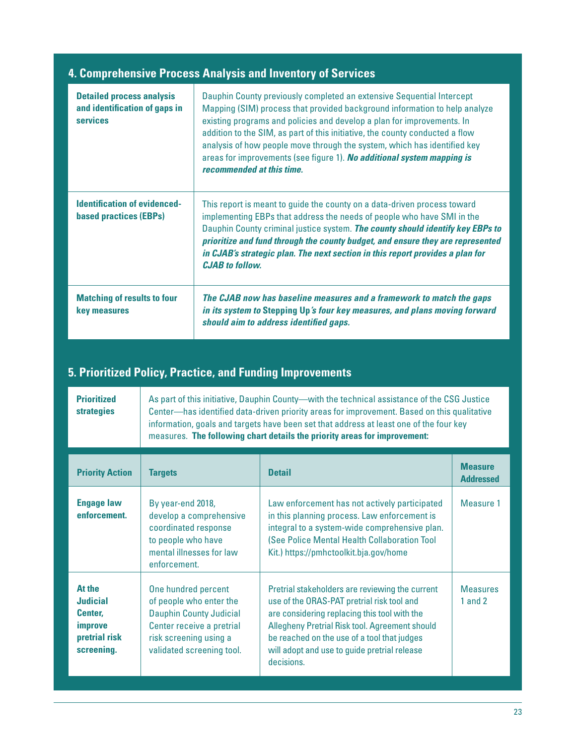| 4. Comprehensive Process Analysis and Inventory of Services                          |                                                                                                                                                                                                                                                                                                                                                                                                                                                                                                  |  |
|--------------------------------------------------------------------------------------|--------------------------------------------------------------------------------------------------------------------------------------------------------------------------------------------------------------------------------------------------------------------------------------------------------------------------------------------------------------------------------------------------------------------------------------------------------------------------------------------------|--|
| <b>Detailed process analysis</b><br>and identification of gaps in<br><b>services</b> | Dauphin County previously completed an extensive Sequential Intercept<br>Mapping (SIM) process that provided background information to help analyze<br>existing programs and policies and develop a plan for improvements. In<br>addition to the SIM, as part of this initiative, the county conducted a flow<br>analysis of how people move through the system, which has identified key<br>areas for improvements (see figure 1). No additional system mapping is<br>recommended at this time. |  |
| <b>Identification of evidenced-</b><br><b>based practices (EBPs)</b>                 | This report is meant to guide the county on a data-driven process toward<br>implementing EBPs that address the needs of people who have SMI in the<br>Dauphin County criminal justice system. The county should identify key EBPs to<br>prioritize and fund through the county budget, and ensure they are represented<br>in CJAB's strategic plan. The next section in this report provides a plan for<br><b>CJAB</b> to follow.                                                                |  |
| <b>Matching of results to four</b><br>key measures                                   | The CJAB now has baseline measures and a framework to match the gaps<br>in its system to Stepping Up's four key measures, and plans moving forward<br>should aim to address identified gaps.                                                                                                                                                                                                                                                                                                     |  |

### **5. Prioritized Policy, Practice, and Funding Improvements**

| <b>Prioritized</b> | As part of this initiative, Dauphin County—with the technical assistance of the CSG Justice |
|--------------------|---------------------------------------------------------------------------------------------|
| <b>strategies</b>  | Center—has identified data-driven priority areas for improvement. Based on this qualitative |
|                    | information, goals and targets have been set that address at least one of the four key      |
|                    | measures. The following chart details the priority areas for improvement:                   |

| <b>Priority Action</b>                                                                | <b>Targets</b>                                                                                                                                                       | <b>Detail</b>                                                                                                                                                                                                                                                                                                | <b>Measure</b><br><b>Addressed</b> |
|---------------------------------------------------------------------------------------|----------------------------------------------------------------------------------------------------------------------------------------------------------------------|--------------------------------------------------------------------------------------------------------------------------------------------------------------------------------------------------------------------------------------------------------------------------------------------------------------|------------------------------------|
| <b>Engage law</b><br>enforcement.                                                     | By year-end 2018,<br>develop a comprehensive<br>coordinated response<br>to people who have<br>mental illnesses for law<br>enforcement.                               | Law enforcement has not actively participated<br>in this planning process. Law enforcement is<br>integral to a system-wide comprehensive plan.<br>(See Police Mental Health Collaboration Tool<br>Kit.) https://pmhctoolkit.bja.gov/home                                                                     | Measure 1                          |
| At the<br><b>Judicial</b><br>Center.<br><i>improve</i><br>pretrial risk<br>screening. | One hundred percent<br>of people who enter the<br><b>Dauphin County Judicial</b><br>Center receive a pretrial<br>risk screening using a<br>validated screening tool. | Pretrial stakeholders are reviewing the current<br>use of the ORAS-PAT pretrial risk tool and<br>are considering replacing this tool with the<br>Allegheny Pretrial Risk tool. Agreement should<br>be reached on the use of a tool that judges<br>will adopt and use to guide pretrial release<br>decisions. | <b>Measures</b><br>1 and $2$       |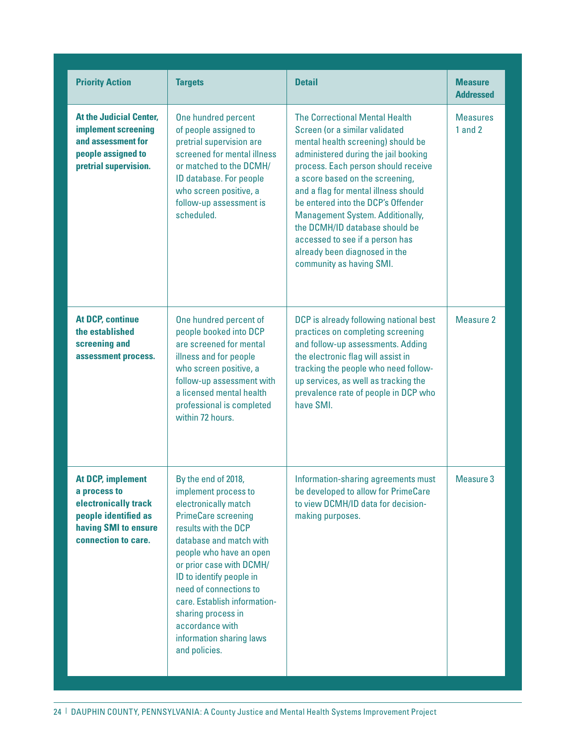| <b>Priority Action</b>                                                                                                                  | <b>Targets</b>                                                                                                                                                                                                                                                                                                                                                                          | <b>Detail</b>                                                                                                                                                                                                                                                                                                                                                                                                                                                                       | <b>Measure</b><br><b>Addressed</b> |
|-----------------------------------------------------------------------------------------------------------------------------------------|-----------------------------------------------------------------------------------------------------------------------------------------------------------------------------------------------------------------------------------------------------------------------------------------------------------------------------------------------------------------------------------------|-------------------------------------------------------------------------------------------------------------------------------------------------------------------------------------------------------------------------------------------------------------------------------------------------------------------------------------------------------------------------------------------------------------------------------------------------------------------------------------|------------------------------------|
| <b>At the Judicial Center,</b><br>implement screening<br>and assessment for<br>people assigned to<br>pretrial supervision.              | One hundred percent<br>of people assigned to<br>pretrial supervision are<br>screened for mental illness<br>or matched to the DCMH/<br>ID database. For people<br>who screen positive, a<br>follow-up assessment is<br>scheduled.                                                                                                                                                        | <b>The Correctional Mental Health</b><br>Screen (or a similar validated<br>mental health screening) should be<br>administered during the jail booking<br>process. Each person should receive<br>a score based on the screening,<br>and a flag for mental illness should<br>be entered into the DCP's Offender<br>Management System. Additionally,<br>the DCMH/ID database should be<br>accessed to see if a person has<br>already been diagnosed in the<br>community as having SMI. | <b>Measures</b><br>1 and 2         |
| <b>At DCP, continue</b><br>the established<br>screening and<br>assessment process.                                                      | One hundred percent of<br>people booked into DCP<br>are screened for mental<br>illness and for people<br>who screen positive, a<br>follow-up assessment with<br>a licensed mental health<br>professional is completed<br>within 72 hours.                                                                                                                                               | DCP is already following national best<br>practices on completing screening<br>and follow-up assessments. Adding<br>the electronic flag will assist in<br>tracking the people who need follow-<br>up services, as well as tracking the<br>prevalence rate of people in DCP who<br>have SMI.                                                                                                                                                                                         | Measure 2                          |
| <b>At DCP, implement</b><br>a process to<br>electronically track<br>people identified as<br>having SMI to ensure<br>connection to care. | By the end of 2018,<br>implement process to<br>electronically match<br><b>PrimeCare screening</b><br>results with the DCP<br>database and match with<br>people who have an open<br>or prior case with DCMH/<br>ID to identify people in<br>need of connections to<br>care. Establish information-<br>sharing process in<br>accordance with<br>information sharing laws<br>and policies. | Information-sharing agreements must<br>be developed to allow for PrimeCare<br>to view DCMH/ID data for decision-<br>making purposes.                                                                                                                                                                                                                                                                                                                                                | Measure 3                          |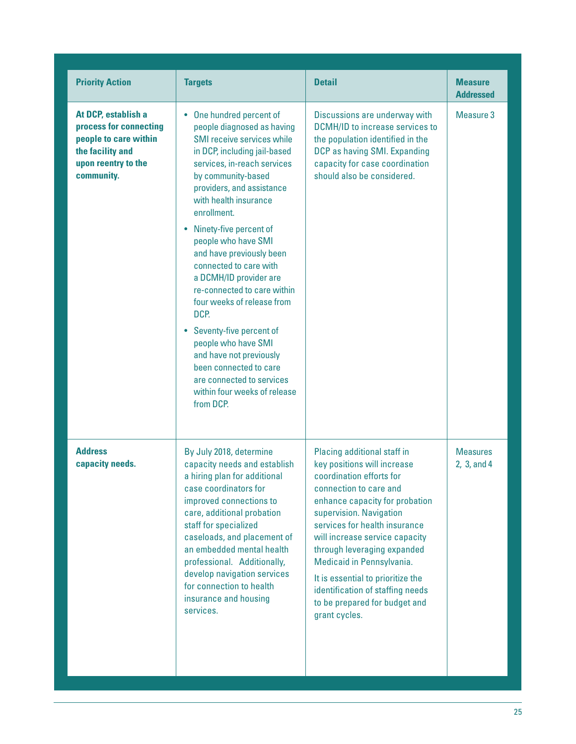| <b>Priority Action</b>                                                                                                          | <b>Targets</b>                                                                                                                                                                                                                                                                                                                                                                                                                                                                                                                                                                                                                            | <b>Detail</b>                                                                                                                                                                                                                                                                                                                                                                                                                           | <b>Measure</b><br><b>Addressed</b> |
|---------------------------------------------------------------------------------------------------------------------------------|-------------------------------------------------------------------------------------------------------------------------------------------------------------------------------------------------------------------------------------------------------------------------------------------------------------------------------------------------------------------------------------------------------------------------------------------------------------------------------------------------------------------------------------------------------------------------------------------------------------------------------------------|-----------------------------------------------------------------------------------------------------------------------------------------------------------------------------------------------------------------------------------------------------------------------------------------------------------------------------------------------------------------------------------------------------------------------------------------|------------------------------------|
| At DCP, establish a<br>process for connecting<br>people to care within<br>the facility and<br>upon reentry to the<br>community. | • One hundred percent of<br>people diagnosed as having<br>SMI receive services while<br>in DCP, including jail-based<br>services, in-reach services<br>by community-based<br>providers, and assistance<br>with health insurance<br>enrollment.<br>• Ninety-five percent of<br>people who have SMI<br>and have previously been<br>connected to care with<br>a DCMH/ID provider are<br>re-connected to care within<br>four weeks of release from<br>DCP.<br>• Seventy-five percent of<br>people who have SMI<br>and have not previously<br>been connected to care<br>are connected to services<br>within four weeks of release<br>from DCP. | Discussions are underway with<br><b>DCMH/ID to increase services to</b><br>the population identified in the<br>DCP as having SMI. Expanding<br>capacity for case coordination<br>should also be considered.                                                                                                                                                                                                                             | Measure 3                          |
| <b>Address</b><br>capacity needs.                                                                                               | By July 2018, determine<br>capacity needs and establish<br>a hiring plan for additional<br>case coordinators for<br>improved connections to<br>care, additional probation<br>staff for specialized<br>caseloads, and placement of<br>an embedded mental health<br>professional. Additionally,<br>develop navigation services<br>for connection to health<br>insurance and housing<br>services.                                                                                                                                                                                                                                            | Placing additional staff in<br>key positions will increase<br>coordination efforts for<br>connection to care and<br>enhance capacity for probation<br>supervision. Navigation<br>services for health insurance<br>will increase service capacity<br>through leveraging expanded<br>Medicaid in Pennsylvania.<br>It is essential to prioritize the<br>identification of staffing needs<br>to be prepared for budget and<br>grant cycles. | <b>Measures</b><br>2, 3, and 4     |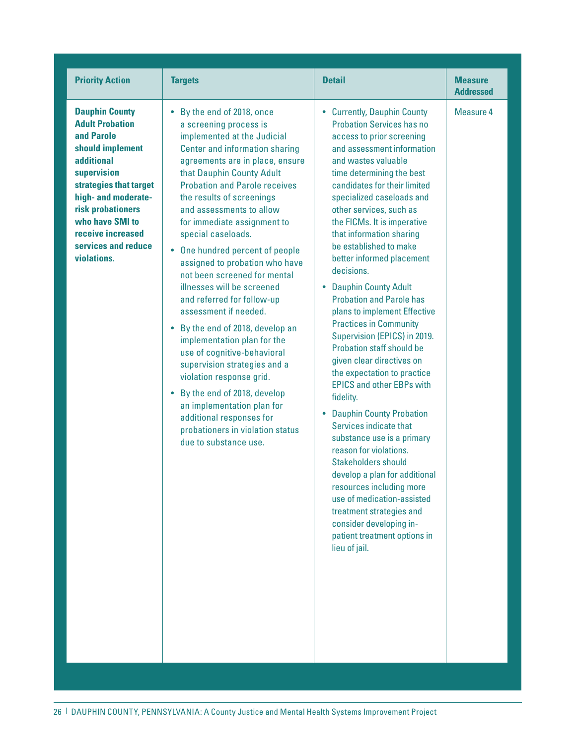| <b>Priority Action</b>                                                                                                                                                                                                                                                    | <b>Targets</b>                                                                                                                                                                                                                                                                                                                                                                                                                                                                                                                                                                                                                                                                                                                                                                                                                                                         | <b>Detail</b>                                                                                                                                                                                                                                                                                                                                                                                                                                                                                                                                                                                                                                                                                                                                                                                                                                                                                                                                                                                                                                                   | <b>Measure</b><br><b>Addressed</b> |
|---------------------------------------------------------------------------------------------------------------------------------------------------------------------------------------------------------------------------------------------------------------------------|------------------------------------------------------------------------------------------------------------------------------------------------------------------------------------------------------------------------------------------------------------------------------------------------------------------------------------------------------------------------------------------------------------------------------------------------------------------------------------------------------------------------------------------------------------------------------------------------------------------------------------------------------------------------------------------------------------------------------------------------------------------------------------------------------------------------------------------------------------------------|-----------------------------------------------------------------------------------------------------------------------------------------------------------------------------------------------------------------------------------------------------------------------------------------------------------------------------------------------------------------------------------------------------------------------------------------------------------------------------------------------------------------------------------------------------------------------------------------------------------------------------------------------------------------------------------------------------------------------------------------------------------------------------------------------------------------------------------------------------------------------------------------------------------------------------------------------------------------------------------------------------------------------------------------------------------------|------------------------------------|
| <b>Dauphin County</b><br><b>Adult Probation</b><br>and Parole<br>should implement<br><b>additional</b><br>supervision<br>strategies that target<br>high- and moderate-<br>risk probationers<br>who have SMI to<br>receive increased<br>services and reduce<br>violations. | By the end of 2018, once<br>$\bullet$<br>a screening process is<br>implemented at the Judicial<br>Center and information sharing<br>agreements are in place, ensure<br>that Dauphin County Adult<br><b>Probation and Parole receives</b><br>the results of screenings<br>and assessments to allow<br>for immediate assignment to<br>special caseloads.<br>• One hundred percent of people<br>assigned to probation who have<br>not been screened for mental<br>illnesses will be screened<br>and referred for follow-up<br>assessment if needed.<br>• By the end of 2018, develop an<br>implementation plan for the<br>use of cognitive-behavioral<br>supervision strategies and a<br>violation response grid.<br>• By the end of 2018, develop<br>an implementation plan for<br>additional responses for<br>probationers in violation status<br>due to substance use. | • Currently, Dauphin County<br><b>Probation Services has no</b><br>access to prior screening<br>and assessment information<br>and wastes valuable<br>time determining the best<br>candidates for their limited<br>specialized caseloads and<br>other services, such as<br>the FICMs. It is imperative<br>that information sharing<br>be established to make<br>better informed placement<br>decisions.<br>• Dauphin County Adult<br><b>Probation and Parole has</b><br>plans to implement Effective<br><b>Practices in Community</b><br>Supervision (EPICS) in 2019.<br>Probation staff should be<br>given clear directives on<br>the expectation to practice<br><b>EPICS and other EBPs with</b><br>fidelity.<br>• Dauphin County Probation<br>Services indicate that<br>substance use is a primary<br>reason for violations.<br><b>Stakeholders should</b><br>develop a plan for additional<br>resources including more<br>use of medication-assisted<br>treatment strategies and<br>consider developing in-<br>patient treatment options in<br>lieu of jail. | Measure 4                          |

26 | DAUPHIN COUNTY, PENNSYLVANIA: A County Justice and Mental Health Systems Improvement Project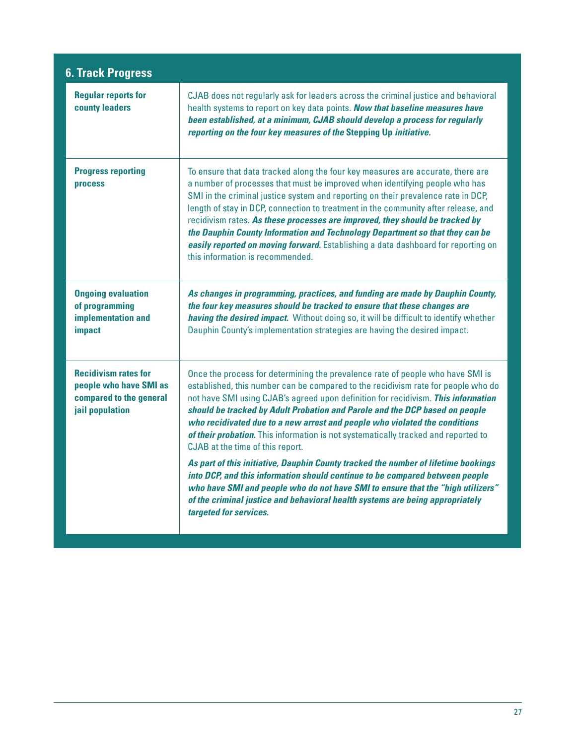| <b>6. Track Progress</b>                                                                            |                                                                                                                                                                                                                                                                                                                                                                                                                                                                                                                                                                                                                                                                                                                                                                                                                                                                                                                     |
|-----------------------------------------------------------------------------------------------------|---------------------------------------------------------------------------------------------------------------------------------------------------------------------------------------------------------------------------------------------------------------------------------------------------------------------------------------------------------------------------------------------------------------------------------------------------------------------------------------------------------------------------------------------------------------------------------------------------------------------------------------------------------------------------------------------------------------------------------------------------------------------------------------------------------------------------------------------------------------------------------------------------------------------|
| <b>Regular reports for</b><br><b>county leaders</b>                                                 | CJAB does not regularly ask for leaders across the criminal justice and behavioral<br>health systems to report on key data points. Now that baseline measures have<br>been established, at a minimum, CJAB should develop a process for regularly<br>reporting on the four key measures of the Stepping Up initiative.                                                                                                                                                                                                                                                                                                                                                                                                                                                                                                                                                                                              |
| <b>Progress reporting</b><br><b>process</b>                                                         | To ensure that data tracked along the four key measures are accurate, there are<br>a number of processes that must be improved when identifying people who has<br>SMI in the criminal justice system and reporting on their prevalence rate in DCP,<br>length of stay in DCP, connection to treatment in the community after release, and<br>recidivism rates. As these processes are improved, they should be tracked by<br>the Dauphin County Information and Technology Department so that they can be<br>easily reported on moving forward. Establishing a data dashboard for reporting on<br>this information is recommended.                                                                                                                                                                                                                                                                                  |
| <b>Ongoing evaluation</b><br>of programming<br>implementation and<br>impact                         | As changes in programming, practices, and funding are made by Dauphin County,<br>the four key measures should be tracked to ensure that these changes are<br>having the desired impact. Without doing so, it will be difficult to identify whether<br>Dauphin County's implementation strategies are having the desired impact.                                                                                                                                                                                                                                                                                                                                                                                                                                                                                                                                                                                     |
| <b>Recidivism rates for</b><br>people who have SMI as<br>compared to the general<br>jail population | Once the process for determining the prevalence rate of people who have SMI is<br>established, this number can be compared to the recidivism rate for people who do<br>not have SMI using CJAB's agreed upon definition for recidivism. This information<br>should be tracked by Adult Probation and Parole and the DCP based on people<br>who recidivated due to a new arrest and people who violated the conditions<br>of their probation. This information is not systematically tracked and reported to<br>CJAB at the time of this report.<br>As part of this initiative, Dauphin County tracked the number of lifetime bookings<br>into DCP, and this information should continue to be compared between people<br>who have SMI and people who do not have SMI to ensure that the "high utilizers"<br>of the criminal justice and behavioral health systems are being appropriately<br>targeted for services. |